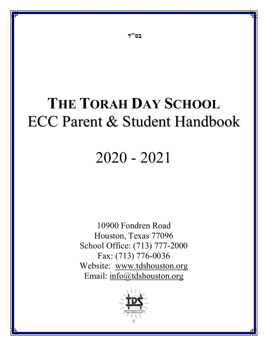# THE TORAH DAY SCHOOL ECC Parent & Student Handbook

# 2020 - 2021

10900 Fondren Road Houston, Texas 77096 School Office: (713) 777-2000 Fax: (713) 776-0036 Website: www.tdshouston.org Email: info@tdshouston.org

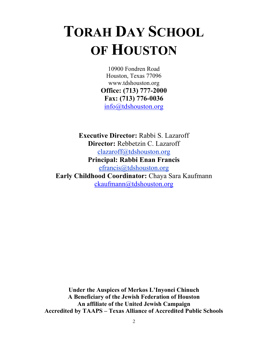# TORAH DAY SCHOOL OF HOUSTON

10900 Fondren Road Houston, Texas 77096 www.tdshouston.org Office: (713) 777-2000 Fax: (713) 776-0036 info@tdshouston.org

Executive Director: Rabbi S. Lazaroff Director: Rebbetzin C. Lazaroff clazaroff@tdshouston.org Principal: Rabbi Enan Francis efrancis@tdshouston.org Early Childhood Coordinator: Chaya Sara Kaufmann ckaufmann@tdshouston.org

Under the Auspices of Merkos L'Inyonei Chinuch A Beneficiary of the Jewish Federation of Houston An affiliate of the United Jewish Campaign Accredited by TAAPS – Texas Alliance of Accredited Public Schools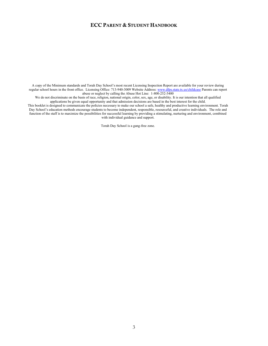A copy of the Minimum standards and Torah Day School's most recent Licensing Inspection Report are available for your review during regular school hours in the front office. Licensing Office: 713-940-3009 Website Address: www.dfps.state.tx.us/childcase Parents can report abuse or neglect by calling the Abuse Hot Line: 1-800-252-5400

We do not discriminate on the basis of race, religion, national origin, color, sex, age, or disability. It is our intention that all qualified applications be given equal opportunity and that admission decisions are based in the best interest for the child.

This booklet is designed to communicate the policies necessary to make our school a safe, healthy and productive learning environment. Torah Day School's education methods encourage students to become independent, responsible, resourceful, and creative individuals. The role and function of the staff is to maximize the possibilities for successful learning by providing a stimulating, nurturing and environment, combined with individual guidance and support.

Torah Day School is a gang-free zone.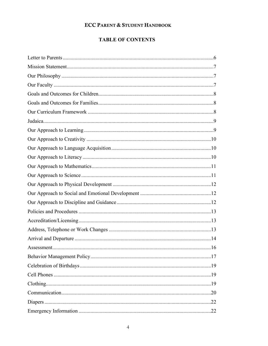# **TABLE OF CONTENTS**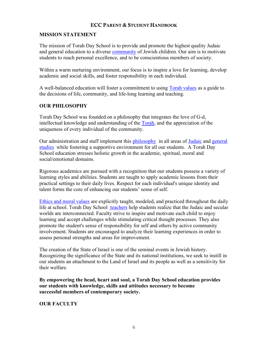## MISSION STATEMENT

The mission of Torah Day School is to provide and promote the highest quality Judaic and general education to a diverse community of Jewish children. Our aim is to motivate students to reach personal excellence, and to be conscientious members of society.

Within a warm nurturing environment, our focus is to inspire a love for learning, develop academic and social skills, and foster responsibility in each individual.

A well-balanced education will foster a commitment to using Torah values as a guide to the decisions of life, community, and life-long learning and teaching.

## OUR PHILOSOPHY

Torah Day School was founded on a philosophy that integrates the love of G-d, intellectual knowledge and understanding of the Torah, and the appreciation of the uniqueness of every individual of the community.

Our administration and staff implement this philosophy in all areas of Judaic and general studies while fostering a supportive environment for all our students. A Torah Day School education stresses holistic growth in the academic, spiritual, moral and social/emotional domains.

Rigorous academics are pursued with a recognition that our students possess a variety of learning styles and abilities. Students are taught to apply academic lessons from their practical settings to their daily lives. Respect for each individual's unique identity and talent forms the core of enhancing our students' sense of self.

Ethics and moral values are explicitly taught, modeled, and practiced throughout the daily life at school. Torah Day School teachers help students realize that the Judaic and secular worlds are interconnected. Faculty strive to inspire and motivate each child to enjoy learning and accept challenges while stimulating critical thought processes. They also promote the student's sense of responsibility for self and others by active community involvement. Students are encouraged to analyze their learning experiences in order to assess personal strengths and areas for improvement.

The creation of the State of Israel is one of the seminal events in Jewish history. Recognizing the significance of the State and its national institutions, we seek to instill in our students an attachment to the Land of Israel and its people as well as a sensitivity for their welfare.

By empowering the head, heart and soul, a Torah Day School education provides our students with knowledge, skills and attitudes necessary to become successful members of contemporary society.

#### OUR FACULTY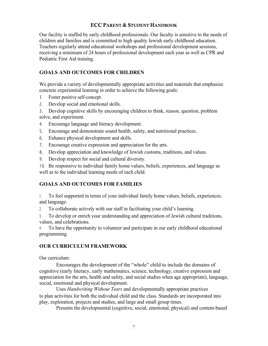Our facility is staffed by early childhood professionals. Our faculty is sensitive to the needs of children and families and is committed to high quality Jewish early childhood education. Teachers regularly attend educational workshops and professional development sessions, receiving a minimum of 24 hours of professional development each year as well as CPR and Pediatric First Aid training.

# GOALS AND OUTCOMES FOR CHILDREN

We provide a variety of developmentally appropriate activities and materials that emphasize concrete experiential learning in order to achieve the following goals:

- 1 Foster positive self-concept.
- 2. Develop social and emotional skills.

3. Develop cognitive skills by encouraging children to think, reason, question, problem solve, and experiment.

- 4. Encourage language and literacy development.
- 5. Encourage and demonstrate sound health, safety, and nutritional practices.
- 6. Enhance physical development and skills.
- 7. Encourage creative expression and appreciation for the arts.
- 8. Develop appreciation and knowledge of Jewish customs, traditions, and values.
- 9. Develop respect for social and cultural diversity.

10. Be responsive to individual family home values, beliefs, experiences, and language as well as to the individual learning needs of each child.

# GOALS AND OUTCOMES FOR FAMILIES

1. To feel supported in terms of your individual family home values, beliefs, experiences, and language.

2. To collaborate actively with our staff in facilitating your child's learning.

3. To develop or enrich your understanding and appreciation of Jewish cultural traditions, values, and celebrations.

4. To have the opportunity to volunteer and participate in our early childhood educational programming.

## OUR CURRICULUM FRAMEWORK

Our curriculum:

• Encourages the development of the "whole" child to include the domains of cognitive (early literacy, early mathematics, science, technology, creative expression and appreciation for the arts, health and safety, and social studies when age appropriate), language, social, emotional and physical development.

Uses Handwriting Without Tears and developmentally appropriate practices to plan activities for both the individual child and the class. Standards are incorporated into play, exploration, projects and studies, and large and small group times.

• Presents the developmental (cognitive, social, emotional, physical) and content-based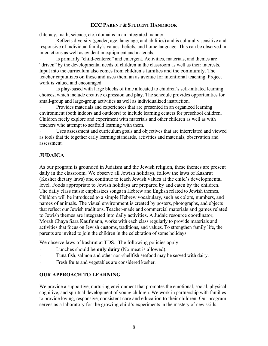(literacy, math, science, etc.) domains in an integrated manner.

• Reflects diversity (gender, age, language, and abilities) and is culturally sensitive and responsive of individual family's values, beliefs, and home language. This can be observed in interactions as well as evident in equipment and materials.

Is primarily "child-centered" and emergent. Activities, materials, and themes are "driven" by the developmental needs of children in the classroom as well as their interests. Input into the curriculum also comes from children's families and the community. The teacher capitalizes on these and uses them an as avenue for intentional teaching. Project work is valued and encouraged.

Is play-based with large blocks of time allocated to children's self-initiated learning choices, which include creative expression and play. The schedule provides opportunities for small-group and large-group activities as well as individualized instruction.

• Provides materials and experiences that are presented in an organized learning environment (both indoors and outdoors) to include learning centers for preschool children. Children freely explore and experiment with materials and other children as well as with teachers who attempt to scaffold learning with them.

• Uses assessment and curriculum goals and objectives that are interrelated and viewed as tools that tie together early learning standards, activities and materials, observation and assessment.

# JUDAICA

As our program is grounded in Judaism and the Jewish religion, these themes are present daily in the classroom. We observe all Jewish holidays, follow the laws of Kashrut (Kosher dietary laws) and continue to teach Jewish values at the child's developmental level. Foods appropriate to Jewish holidays are prepared by and eaten by the children. The daily class music emphasizes songs in Hebrew and English related to Jewish themes. Children will be introduced to a simple Hebrew vocabulary, such as colors, numbers, and names of animals. The visual environment is created by posters, photographs, and objects that reflect our Jewish traditions. Teacher-made and commercial materials and games related to Jewish themes are integrated into daily activities. A Judaic resource coordinator, Morah Chaya Sara Kaufmann, works with each class regularly to provide materials and activities that focus on Jewish customs, traditions, and values. To strengthen family life, the parents are invited to join the children in the celebration of some holidays.

We observe laws of kashrut at TDS. The following policies apply:

- Lunches should be only dairy (No meat is allowed).
- Tuna fish, salmon and other non-shellfish seafood may be served with dairy.
- Fresh fruits and vegetables are considered kosher.

#### OUR APPROACH TO LEARNING

We provide a supportive, nurturing environment that promotes the emotional, social, physical, cognitive, and spiritual development of young children. We work in partnership with families to provide loving, responsive, consistent care and education to their children. Our program serves as a laboratory for the growing child's experiments in the mastery of new skills.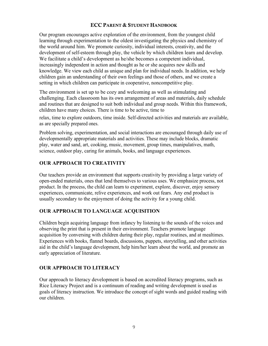Our program encourages active exploration of the environment, from the youngest child learning through experimentation to the oldest investigating the physics and chemistry of the world around him. We promote curiosity, individual interests, creativity, and the development of self-esteem through play, the vehicle by which children learn and develop. We facilitate a child's development as he/she becomes a competent individual, increasingly independent in action and thought as he or she acquires new skills and knowledge. We view each child as unique and plan for individual needs. In addition, we help children gain an understanding of their own feelings and those of others, and we create a setting in which children can participate in cooperative, noncompetitive play.

The environment is set up to be cozy and welcoming as well as stimulating and challenging. Each classroom has its own arrangement of areas and materials, daily schedule and routines that are designed to suit both individual and group needs. Within this framework, children have many choices. There is time to be active, time to

relax, time to explore outdoors, time inside. Self-directed activities and materials are available, as are specially prepared ones.

Problem solving, experimentation, and social interactions are encouraged through daily use of developmentally appropriate materials and activities. These may include blocks, dramatic play, water and sand, art, cooking, music, movement, group times, manipulatives, math, science, outdoor play, caring for animals, books, and language experiences.

# OUR APPROACH TO CREATIVITY

Our teachers provide an environment that supports creativity by providing a large variety of open-ended materials, ones that lend themselves to various uses. We emphasize process, not product. In the process, the child can learn to experiment, explore, discover, enjoy sensory experiences, communicate, relive experiences, and work out fears. Any end product is usually secondary to the enjoyment of doing the activity for a young child.

## OUR APPROACH TO LANGUAGE ACQUISITION

Children begin acquiring language from infancy by listening to the sounds of the voices and observing the print that is present in their environment. Teachers promote language acquisition by conversing with children during their play, regular routines, and at mealtimes. Experiences with books, flannel boards, discussions, puppets, storytelling, and other activities aid in the child's language development, help him/her learn about the world, and promote an early appreciation of literature.

# OUR APPROACH TO LITERACY

Our approach to literacy development is based on accredited literacy programs, such as Rice Literacy Project and is a continuum of reading and writing development is used as goals of literacy instruction. We introduce the concept of sight words and guided reading with our children.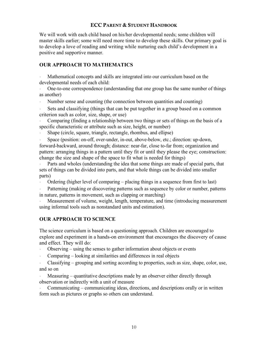We will work with each child based on his/her developmental needs; some children will master skills earlier; some will need more time to develop these skills. Our primary goal is to develop a love of reading and writing while nurturing each child's development in a positive and supportive manner.

## OUR APPROACH TO MATHEMATICS

• Mathematical concepts and skills are integrated into our curriculum based on the developmental needs of each child:

• One-to-one correspondence (understanding that one group has the same number of things as another)

• Number sense and counting (the connection between quantities and counting)

Sets and classifying (things that can be put together in a group based on a common criterion such as color, size, shape, or use)

• Comparing (finding a relationship between two things or sets of things on the basis of a specific characteristic or attribute such as size, height, or number)

• Shape (circle, square, triangle, rectangle, rhombus, and ellipse)

• Space (position: on-off, over-under, in-out, above-below, etc.; direction: up-down, forward-backward, around through; distance: near-far, close to-far from; organization and pattern: arranging things in a pattern until they fit or until they please the eye; construction: change the size and shape of the space to fit what is needed for things)

• Parts and wholes (understanding the idea that some things are made of special parts, that sets of things can be divided into parts, and that whole things can be divided into smaller parts)

• Ordering (higher level of comparing – placing things in a sequence from first to last)

• Patterning (making or discovering patterns such as sequence by color or number, patterns in nature, patterns in movement, such as clapping or marching)

• Measurement of volume, weight, length, temperature, and time (introducing measurement using informal tools such as nonstandard units and estimation).

#### OUR APPROACH TO SCIENCE

The science curriculum is based on a questioning approach. Children are encouraged to explore and experiment in a hands-on environment that encourages the discovery of cause and effect. They will do:

- Observing using the senses to gather information about objects or events
- Comparing looking at similarities and differences in real objects

• Classifying – grouping and sorting according to properties, such as size, shape, color, use, and so on

Measuring – quantitative descriptions made by an observer either directly through observation or indirectly with a unit of measure

• Communicating – communicating ideas, directions, and descriptions orally or in written form such as pictures or graphs so others can understand.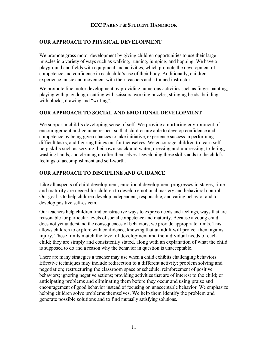# OUR APPROACH TO PHYSICAL DEVELOPMENT

We promote gross motor development by giving children opportunities to use their large muscles in a variety of ways such as walking, running, jumping, and hopping. We have a playground and fields with equipment and activities, which promote the development of competence and confidence in each child's use of their body. Additionally, children experience music and movement with their teachers and a trained instructor.

We promote fine motor development by providing numerous activities such as finger painting, playing with play dough, cutting with scissors, working puzzles, stringing beads, building with blocks, drawing and "writing".

## OUR APPROACH TO SOCIAL AND EMOTIONAL DEVELOPMENT

We support a child's developing sense of self. We provide a nurturing environment of encouragement and genuine respect so that children are able to develop confidence and competence by being given chances to take initiative, experience success in performing difficult tasks, and figuring things out for themselves. We encourage children to learn selfhelp skills such as serving their own snack and water, dressing and undressing, toileting, washing hands, and cleaning up after themselves. Developing these skills adds to the child's feelings of accomplishment and self-worth.

# OUR APPROACH TO DISCIPLINE AND GUIDANCE

Like all aspects of child development, emotional development progresses in stages; time and maturity are needed for children to develop emotional mastery and behavioral control. Our goal is to help children develop independent, responsible, and caring behavior and to develop positive self-esteem.

Our teachers help children find constructive ways to express needs and feelings, ways that are reasonable for particular levels of social competence and maturity. Because a young child does not yet understand the consequences of behaviors, we provide appropriate limits. This allows children to explore with confidence, knowing that an adult will protect them against injury. These limits match the level of development and the individual needs of each child; they are simply and consistently stated, along with an explanation of what the child is supposed to do and a reason why the behavior in question is unacceptable.

There are many strategies a teacher may use when a child exhibits challenging behaviors. Effective techniques may include redirection to a different activity; problem solving and negotiation; restructuring the classroom space or schedule; reinforcement of positive behaviors; ignoring negative actions; providing activities that are of interest to the child; or anticipating problems and eliminating them before they occur and using praise and encouragement of good behavior instead of focusing on unacceptable behavior. We emphasize helping children solve problems themselves. We help them identify the problem and generate possible solutions and to find mutually satisfying solutions.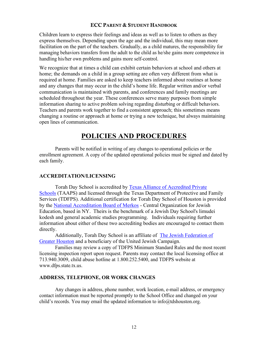Children learn to express their feelings and ideas as well as to listen to others as they express themselves. Depending upon the age and the individual, this may mean more facilitation on the part of the teachers. Gradually, as a child matures, the responsibility for managing behaviors transfers from the adult to the child as he/she gains more competence in handling his/her own problems and gains more self-control.

We recognize that at times a child can exhibit certain behaviors at school and others at home; the demands on a child in a group setting are often very different from what is required at home. Families are asked to keep teachers informed about routines at home and any changes that may occur in the child's home life. Regular written and/or verbal communication is maintained with parents, and conferences and family meetings are scheduled throughout the year. These conferences serve many purposes from simple information sharing to active problem solving regarding disturbing or difficult behaviors. Teachers and parents work together to find a consistent approach; this sometimes means changing a routine or approach at home or trying a new technique, but always maintaining open lines of communication.

# POLICIES AND PROCEDURES

Parents will be notified in writing of any changes to operational policies or the enrollment agreement. A copy of the updated operational policies must be signed and dated by each family.

#### ACCREDITATION/LICENSING

Torah Day School is accredited by Texas Alliance of Accredited Private Schools (TAAPS) and licensed through the Texas Department of Protective and Family Services (TDFPS). Additional certification for Torah Day School of Houston is provided by the National Accreditation Board of Merkos - Central Organization for Jewish Education, based in NY. Theirs is the benchmark of a Jewish Day School's limudei kodesh and general academic studies programming. Individuals requiring further information about either of these two accrediting bodies are encouraged to contact them directly.

Additionally, Torah Day School is an affiliate of The Jewish Federation of Greater Houston and a beneficiary of the United Jewish Campaign.

Families may review a copy of TDFPS Minimum Standard Rules and the most recent licensing inspection report upon request. Parents may contact the local licensing office at 713.940.3009, child abuse hotline at 1.800.252.5400, and TDFPS website at www.dfps.state.tx.us.

#### ADDRESS, TELEPHONE, OR WORK CHANGES

Any changes in address, phone number, work location, e-mail address, or emergency contact information must be reported promptly to the School Office and changed on your child's records. You may email the updated information to  $info@tdshouston.org$ .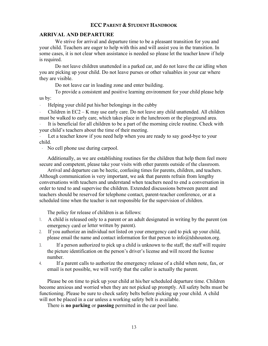#### ARRIVAL AND DEPARTURE

We strive for arrival and departure time to be a pleasant transition for you and your child. Teachers are eager to help with this and will assist you in the transition. In some cases, it is not clear when assistance is needed so please let the teacher know if help is required.

Do not leave children unattended in a parked car, and do not leave the car idling when you are picking up your child. Do not leave purses or other valuables in your car where they are visible.

Do not leave car in loading zone and enter building.

To provide a consistent and positive learning environment for your child please help us by:

• Helping your child put his/her belongings in the cubby

• Children in EC2 – K may use early care. Do not leave any child unattended. All children must be walked to early care, which takes place in the lunchroom or the playground area.

It is beneficial for all children to be a part of the morning circle routine. Check with your child's teachers about the time of their meeting.

Let a teacher know if you need help when you are ready to say good-bye to your child.

• No cell phone use during carpool.

Additionally, as we are establishing routines for the children that help them feel more secure and competent, please take your visits with other parents outside of the classroom.

Arrival and departure can be hectic, confusing times for parents, children, and teachers. Although communication is very important, we ask that parents refrain from lengthy conversations with teachers and understand when teachers need to end a conversation in order to tend to and supervise the children. Extended discussions between parent and teachers should be reserved for telephone contact, parent-teacher conference, or at a scheduled time when the teacher is not responsible for the supervision of children.

The policy for release of children is as follows:

- 1. A child is released only to a parent or an adult designated in writing by the parent (on emergency card or letter written by parent).
- 2. If you authorize an individual not listed on your emergency card to pick up your child, please email the name and contact information for that person to info@tdshouston.org.
- 3. If a person authorized to pick up a child is unknown to the staff, the staff will require the picture identification on the person's driver's license and will record the license number.
- 4. If a parent calls to authorize the emergency release of a child when note, fax, or email is not possible, we will verify that the caller is actually the parent.

Please be on time to pick up your child at his/her scheduled departure time. Children become anxious and worried when they are not picked up promptly. All safety belts must be functioning. Please be sure to check safety belts before picking up your child. A child will not be placed in a car unless a working safety belt is available.

There is **no parking** or **passing** permitted in the car pool lane.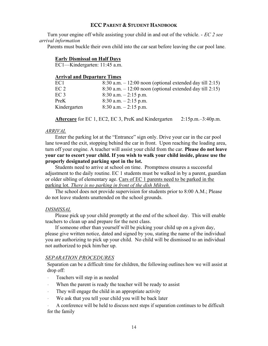Turn your engine off while assisting your child in and out of the vehicle. - EC 2 see arrival information

Parents must buckle their own child into the car seat before leaving the car pool lane.

#### Early Dismissal on Half Days

EC1—Kindergarten: 11:45 a.m.

#### Arrival and Departure Times

| EC1          | $8:30$ a.m. $-12:00$ noon (optional extended day till 2:15) |
|--------------|-------------------------------------------------------------|
| EC 2         | $8:30$ a.m. $-12:00$ noon (optional extended day till 2:15) |
| EC 3         | $8:30$ a.m. $-2:15$ p.m.                                    |
| PreK         | $8:30$ a.m. $-2:15$ p.m.                                    |
| Kindergarten | $8:30$ a.m. $-2:15$ p.m.                                    |

Aftercare for EC 1, EC2, EC 3, PreK and Kindergarten 2:15p.m.–3:40p.m.

#### ARRIVAL

Enter the parking lot at the "Entrance" sign only. Drive your car in the car pool lane toward the exit, stopping behind the car in front. Upon reaching the loading area, turn off your engine. A teacher will assist your child from the car. Please do not leave your car to escort your child. If you wish to walk your child inside, please use the properly designated parking spot in the lot.

Students need to arrive at school on time. Promptness ensures a successful adjustment to the daily routine. EC 1 students must be walked in by a parent, guardian or older sibling of elementary age. Cars of EC 1 parents need to be parked in the parking lot. There is no parking in front of the dish Mikveh.

The school does not provide supervision for students prior to 8:00 A.M.; Please do not leave students unattended on the school grounds.

#### DISMISSAL

Please pick up your child promptly at the end of the school day. This will enable teachers to clean up and prepare for the next class.

If someone other than yourself will be picking your child up on a given day, please give written notice, dated and signed by you, stating the name of the individual you are authorizing to pick up your child. No child will be dismissed to an individual not authorized to pick him/her up.

#### SEPARATION PROCEDURES

Separation can be a difficult time for children, the following outlines how we will assist at drop off:

• Teachers will step in as needed

- When the parent is ready the teacher will be ready to assist
- They will engage the child in an appropriate activity
- We ask that you tell your child you will be back later

• A conference will be held to discuss next steps if separation continues to be difficult for the family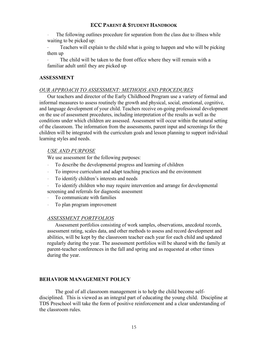The following outlines procedure for separation from the class due to illness while waiting to be picked up:

Teachers will explain to the child what is going to happen and who will be picking them up

The child will be taken to the front office where they will remain with a familiar adult until they are picked up

#### ASSESSMENT

#### OUR APPROACH TO ASSESSMENT: METHODS AND PROCEDURES

Our teachers and director of the Early Childhood Program use a variety of formal and informal measures to assess routinely the growth and physical, social, emotional, cognitive, and language development of your child. Teachers receive on-going professional development on the use of assessment procedures, including interpretation of the results as well as the conditions under which children are assessed. Assessment will occur within the natural setting of the classroom. The information from the assessments, parent input and screenings for the children will be integrated with the curriculum goals and lesson planning to support individual learning styles and needs.

#### USE AND PURPOSE

We use assessment for the following purposes:

- To describe the developmental progress and learning of children
- To improve curriculum and adapt teaching practices and the environment
- To identify children's interests and needs
- To identify children who may require intervention and arrange for developmental screening and referrals for diagnostic assessment
- To communicate with families
- To plan program improvement

#### ASSESSMENT PORTFOLIOS

Assessment portfolios consisting of work samples, observations, anecdotal records, assessment rating, scales data, and other methods to assess and record development and abilities, will be kept by the classroom teacher each year for each child and updated regularly during the year. The assessment portfolios will be shared with the family at parent-teacher conferences in the fall and spring and as requested at other times during the year.

#### BEHAVIOR MANAGEMENT POLICY

The goal of all classroom management is to help the child become selfdisciplined. This is viewed as an integral part of educating the young child. Discipline at TDS Preschool will take the form of positive reinforcement and a clear understanding of the classroom rules.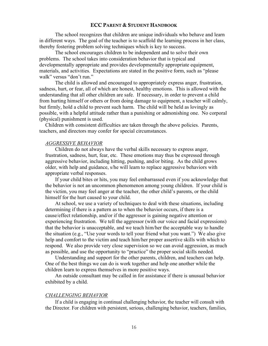The school recognizes that children are unique individuals who behave and learn in different ways. The goal of the teacher is to scaffold the learning process in her class, thereby fostering problem solving techniques which is key to success.

The school encourages children to be independent and to solve their own problems. The school takes into consideration behavior that is typical and developmentally appropriate and provides developmentally appropriate equipment, materials, and activities. Expectations are stated in the positive form, such as "please walk" versus "don't run."

The child is allowed and encouraged to appropriately express anger, frustration, sadness, hurt, or fear, all of which are honest, healthy emotions. This is allowed with the understanding that all other children are safe. If necessary, in order to prevent a child from hurting himself or others or from doing damage to equipment, a teacher will calmly, but firmly, hold a child to prevent such harm. The child will be held as lovingly as possible, with a helpful attitude rather than a punishing or admonishing one. No corporal (physical) punishment is used.

Children with consistent difficulties are taken through the above policies. Parents, teachers, and directors may confer for special circumstances.

#### AGGRESSIVE BEHAVIOR

Children do not always have the verbal skills necessary to express anger, frustration, sadness, hurt, fear, etc. These emotions may thus be expressed through aggressive behavior, including hitting, pushing, and/or biting. As the child grows older, with help and guidance, s/he will learn to replace aggressive behaviors with appropriate verbal responses.

If your child bites or hits, you may feel embarrassed even if you acknowledge that the behavior is not an uncommon phenomenon among young children. If your child is the victim, you may feel anger at the teacher, the other child's parents, or the child himself for the hurt caused to your child.

At school, we use a variety of techniques to deal with these situations, including determining if there is a pattern as to when the behavior occurs, if there is a cause/effect relationship, and/or if the aggressor is gaining negative attention or experiencing frustration. We tell the aggressor (with our voice and facial expressions) that the behavior is unacceptable, and we teach him/her the acceptable way to handle the situation (e.g., "Use your words to tell your friend what you want.") We also give help and comfort to the victim and teach him/her proper assertive skills with which to respond. We also provide very close supervision so we can avoid aggression, as much as possible, and use the opportunity to "practice" the proper social skills needed.

Understanding and support for the other parents, children, and teachers can help. One of the best things we can do is work together and help one another while the children learn to express themselves in more positive ways.

An outside consultant may be called in for assistance if there is unusual behavior exhibited by a child.

#### CHALLENGING BEHAVIOR

If a child is engaging in continual challenging behavior, the teacher will consult with the Director. For children with persistent, serious, challenging behavior, teachers, families,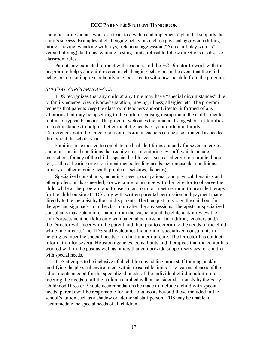and other professionals work as a team to develop and implement a plan that supports the child's success. Examples of challenging behaviors include physical aggression (hitting, biting, shoving, whacking with toys), relational aggression ("You can't play with us", verbal bullying), tantrums, whining, testing limits, refusal to follow directions or observe classroom rules.

Parents are expected to meet with teachers and the EC Director to work with the program to help your child overcome challenging behavior. In the event that the child's behaviors do not improve, a family may be asked to withdraw the child from the program.

#### SPECIAL CIRCUMSTANCES

TDS recognizes that any child at any time may have "special circumstances" due to family emergencies, divorce/separation, moving, illness, allergies, etc. The program requests that parents keep the classroom teachers and/or Director informed of any situations that may be upsetting to the child or causing disruption in the child's regular routine or typical behavior. The program welcomes the input and suggestions of families in such instances to help us better meet the needs of your child and family. Conferences with the Director and/or classroom teachers can be also arranged as needed throughout the school year.

Families are expected to complete medical alert forms annually for severe allergies and other medical conditions that require close monitoring by staff, which include instructions for any of the child's special health needs such as allergies or chronic illness (e.g. asthma, hearing or vision impairments, feeding needs, neuromuscular conditions, urinary or other ongoing health problems, seizures, diabetes).

Specialized consultants, including speech, occupational, and physical therapists and other professionals as needed, are welcome to arrange with the Director to observe the child while at the program and to use a classroom or meeting room to provide therapy for the child on site at TDS only with written parental permission and payment made directly to the therapist by the child's parents. The therapist must sign the child out for therapy and sign back in to the classroom after therapy sessions. Therapists or specialized consultants may obtain information from the teacher about the child and/or review the child's assessment portfolio only with parental permission. In addition, teachers and/or the Director will meet with the parent and therapist to determine the needs of the child while in our care. The TDS staff welcomes the input of specialized consultants in helping us meet the special needs of a child under our care. The Director has contact information for several Houston agencies, consultants and therapists that the center has worked with in the past as well as others that can provide support services for children with special needs.

TDS attempts to be inclusive of all children by adding more staff training, and/or modifying the physical environment within reasonable limits. The reasonableness of the adjustments needed for the specialized needs of the individual child in addition to meeting the needs of all the children enrolled will be considered seriously by the Early Childhood Director. Should accommodations be made to include a child with special needs, parents will be responsible for additional costs beyond those included in the school's tuition such as a shadow or additional staff person. TDS may be unable to accommodate the special needs of all children.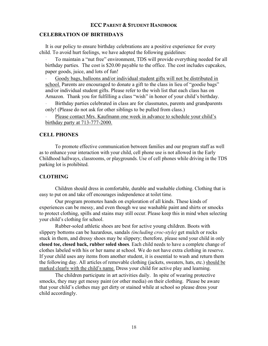#### CELEBRATION OF BIRTHDAYS

It is our policy to ensure birthday celebrations are a positive experience for every child. To avoid hurt feelings, we have adopted the following guidelines:

• To maintain a "nut free" environment, TDS will provide everything needed for all birthday parties. The cost is \$20.00 payable to the office. The cost includes cupcakes, paper goods, juice, and lots of fun!

• Goody bags, balloons and/or individual student gifts will not be distributed in school. Parents are encouraged to donate a gift to the class in lieu of "goodie bags" and/or individual student gifts. Please refer to the wish list that each class has on Amazon. Thank you for fulfilling a class "wish" in honor of your child's birthday.

• Birthday parties celebrated in class are for classmates, parents and grandparents only! (Please do not ask for other siblings to be pulled from class.)

• Please contact Mrs. Kaufmann one week in advance to schedule your child's birthday party at 713-777-2000.

#### CELL PHONES

To promote effective communication between families and our program staff as well as to enhance your interaction with your child, cell phone use is not allowed in the Early Childhood hallways, classrooms, or playgrounds. Use of cell phones while driving in the TDS parking lot is prohibited.

#### **CLOTHING**

Children should dress in comfortable, durable and washable clothing. Clothing that is easy to put on and take off encourages independence at toilet time.

Our program promotes hands on exploration of all kinds. These kinds of experiences can be messy, and even though we use washable paint and shirts or smocks to protect clothing, spills and stains may still occur. Please keep this in mind when selecting your child's clothing for school.

Rubber-soled athletic shoes are best for active young children. Boots with slippery bottoms can be hazardous, sandals *(including croc-style)* get mulch or rocks stuck in them, and dressy shoes may be slippery; therefore, please send your child in only closed toe, closed back, rubber soled shoes. Each child needs to have a complete change of clothes labeled with his or her name at school. We do not have extra clothing in reserve. If your child uses any items from another student, it is essential to wash and return them the following day. All articles of removable clothing (jackets, sweaters, hats, etc.) should be marked clearly with the child's name. Dress your child for active play and learning.

The children participate in art activities daily. In spite of wearing protective smocks, they may get messy paint (or other media) on their clothing. Please be aware that your child's clothes may get dirty or stained while at school so please dress your child accordingly.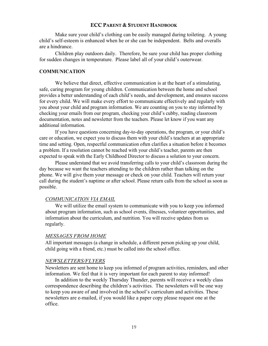Make sure your child's clothing can be easily managed during toileting. A young child's self-esteem is enhanced when he or she can be independent. Belts and overalls are a hindrance.

Children play outdoors daily. Therefore, be sure your child has proper clothing for sudden changes in temperature. Please label all of your child's outerwear.

#### **COMMUNICATION**

We believe that direct, effective communication is at the heart of a stimulating, safe, caring program for young children. Communication between the home and school provides a better understanding of each child's needs, and development, and ensures success for every child. We will make every effort to communicate effectively and regularly with you about your child and program information. We are counting on you to stay informed by checking your emails from our program, checking your child's cubby, reading classroom documentation, notes and newsletter from the teachers. Please let know if you want any additional information.

If you have questions concerning day-to-day operations, the program, or your child's care or education, we expect you to discuss them with your child's teachers at an appropriate time and setting. Open, respectful communication often clarifies a situation before it becomes a problem. If a resolution cannot be reached with your child's teacher, parents are then expected to speak with the Early Childhood Director to discuss a solution to your concern.

Please understand that we avoid transferring calls to your child's classroom during the day because we want the teachers attending to the children rather than talking on the phone. We will give them your message or check on your child. Teachers will return your call during the student's naptime or after school. Please return calls from the school as soon as possible.

#### COMMUNICATION VIA EMAIL

We will utilize the email system to communicate with you to keep you informed about program information, such as school events, illnesses, volunteer opportunities, and information about the curriculum, and nutrition. You will receive updates from us regularly.

#### MESSAGES FROM HOME

All important messages (a change in schedule, a different person picking up your child, child going with a friend, etc.) must be called into the school office.

#### NEWSLETTERS/FLYERS

Newsletters are sent home to keep you informed of program activities, reminders, and other information. We feel that it is very important for each parent to stay informed!

In addition to the weekly Thursday Thunder, parents will receive a weekly class correspondence describing the children's activities. The newsletters will be one way to keep you aware of and involved in the school's curriculum and activities. These newsletters are e-mailed, if you would like a paper copy please request one at the office.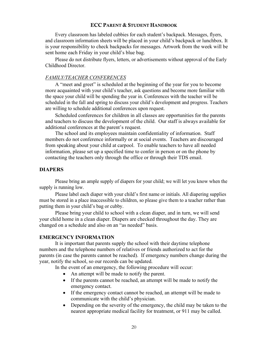Every classroom has labeled cubbies for each student's backpack. Messages, flyers, and classroom information sheets will be placed in your child's backpack or lunchbox. It is your responsibility to check backpacks for messages. Artwork from the week will be sent home each Friday in your child's blue bag.

Please do not distribute flyers, letters, or advertisements without approval of the Early Childhood Director.

#### FAMILY/TEACHER CONFERENCES

A "meet and greet" is scheduled at the beginning of the year for you to become more acquainted with your child's teacher, ask questions and become more familiar with the space your child will be spending the year in. Conferences with the teacher will be scheduled in the fall and spring to discuss your child's development and progress. Teachers are willing to schedule additional conferences upon request.

Scheduled conferences for children in all classes are opportunities for the parents and teachers to discuss the development of the child. Our staff is always available for additional conferences at the parent's request.

The school and its employees maintain confidentiality of information. Staff members do not conference informally or at social events. Teachers are discouraged from speaking about your child at carpool. To enable teachers to have all needed information, please set up a specified time to confer in person or on the phone by contacting the teachers only through the office or through their TDS email.

#### DIAPERS

Please bring an ample supply of diapers for your child; we will let you know when the supply is running low.

Please label each diaper with your child's first name or initials. All diapering supplies must be stored in a place inaccessible to children, so please give them to a teacher rather than putting them in your child's bag or cubby.

Please bring your child to school with a clean diaper, and in turn, we will send your child home in a clean diaper. Diapers are checked throughout the day. They are changed on a schedule and also on an "as needed" basis.

#### EMERGENCY INFORMATION

It is important that parents supply the school with their daytime telephone numbers and the telephone numbers of relatives or friends authorized to act for the parents (in case the parents cannot be reached). If emergency numbers change during the year, notify the school, so our records can be updated.

In the event of an emergency, the following procedure will occur:

- An attempt will be made to notify the parent.
- If the parents cannot be reached, an attempt will be made to notify the emergency contact.
- If the emergency contact cannot be reached, an attempt will be made to communicate with the child's physician.
- Depending on the severity of the emergency, the child may be taken to the nearest appropriate medical facility for treatment, or 911 may be called.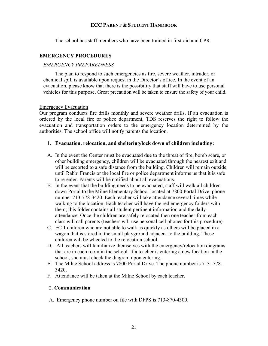The school has staff members who have been trained in first-aid and CPR.

#### EMERGENCY PROCEDURES

#### EMERGENCY PREPAREDNESS

The plan to respond to such emergencies as fire, severe weather, intruder, or chemical spill is available upon request in the Director's office. In the event of an evacuation, please know that there is the possibility that staff will have to use personal vehicles for this purpose. Great precaution will be taken to ensure the safety of your child.

#### Emergency Evacuation

Our program conducts fire drills monthly and severe weather drills. If an evacuation is ordered by the local fire or police department, TDS reserves the right to follow the evacuation and transportation orders to the emergency location determined by the authorities. The school office will notify parents the location.

#### 1. Evacuation, relocation, and sheltering/lock down of children including:

- A. In the event the Center must be evacuated due to the threat of fire, bomb scare, or other building emergency, children will be evacuated through the nearest exit and will be escorted to a safe distance from the building. Children will remain outside until Rabbi Francis or the local fire or police department informs us that it is safe to re-enter. Parents will be notified about all evacuations.
- B. In the event that the building needs to be evacuated, staff will walk all children down Portal to the Milne Elementary School located at 7800 Portal Drive, phone number 713-778-3420. Each teacher will take attendance several times while walking to the location. Each teacher will have the red emergency folders with them; this folder contains all student pertinent information and the daily attendance. Once the children are safely relocated then one teacher from each class will call parents (teachers will use personal cell phones for this procedure).
- C. EC 1 children who are not able to walk as quickly as others will be placed in a wagon that is stored in the small playground adjacent to the building. These children will be wheeled to the relocation school.
- D. All teachers will familiarize themselves with the emergency/relocation diagrams that are in each room in the school. If a teacher is entering a new location in the school, she must check the diagram upon entering.
- E. The Milne School address is 7800 Portal Drive. The phone number is 713- 778- 3420.
- F. Attendance will be taken at the Milne School by each teacher.

#### 2. Communication

A. Emergency phone number on file with DFPS is 713-870-4300.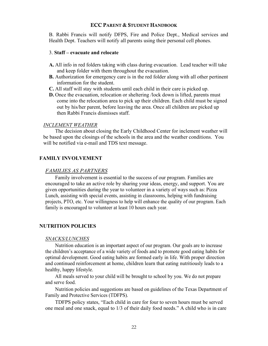B. Rabbi Francis will notify DFPS, Fire and Police Dept., Medical services and Health Dept. Teachers will notify all parents using their personal cell phones.

#### 3. Staff – evacuate and relocate

- A. All info in red folders taking with class during evacuation. Lead teacher will take and keep folder with them throughout the evacuation.
- B. Authorization for emergency care is in the red folder along with all other pertinent information for the student.
- C. All staff will stay with students until each child in their care is picked up.
- D. Once the evacuation, relocation or sheltering /lock down is lifted, parents must come into the relocation area to pick up their children. Each child must be signed out by his/her parent, before leaving the area. Once all children are picked up then Rabbi Francis dismisses staff.

#### INCLEMENT WEATHER

The decision about closing the Early Childhood Center for inclement weather will be based upon the closings of the schools in the area and the weather conditions. You will be notified via e-mail and TDS text message.

#### FAMILY INVOLVEMENT

#### FAMILIES AS PARTNERS

Family involvement is essential to the success of our program. Families are encouraged to take an active role by sharing your ideas, energy, and support. You are given opportunities during the year to volunteer in a variety of ways such as: Pizza Lunch, assisting with special events, assisting in classrooms, helping with fundraising projects, PTO, etc. Your willingness to help will enhance the quality of our program. Each family is encouraged to volunteer at least 10 hours each year.

#### NUTRITION POLICIES

#### SNACKS/LUNCHES

Nutrition education is an important aspect of our program. Our goals are to increase the children's acceptance of a wide variety of foods and to promote good eating habits for optimal development. Good eating habits are formed early in life. With proper direction and continued reinforcement at home, children learn that eating nutritiously leads to a healthy, happy lifestyle.

All meals served to your child will be brought to school by you. We do not prepare and serve food.

Nutrition policies and suggestions are based on guidelines of the Texas Department of Family and Protective Services (TDFPS).

TDFPS policy states, "Each child in care for four to seven hours must be served one meal and one snack, equal to 1/3 of their daily food needs." A child who is in care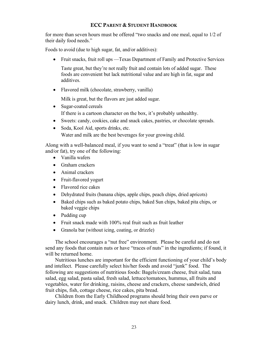for more than seven hours must be offered "two snacks and one meal, equal to 1/2 of their daily food needs."

Foods to avoid (due to high sugar, fat, and/or additives):

Fruit snacks, fruit roll ups —Texas Department of Family and Protective Services

Taste great, but they're not really fruit and contain lots of added sugar. These foods are convenient but lack nutritional value and are high in fat, sugar and additives.

• Flavored milk (chocolate, strawberry, vanilla)

Milk is great, but the flavors are just added sugar.

- Sugar-coated cereals If there is a cartoon character on the box, it's probably unhealthy.
- Sweets: candy, cookies, cake and snack cakes, pastries, or chocolate spreads.
- Soda, Kool Aid, sports drinks, etc. Water and milk are the best beverages for your growing child.

Along with a well-balanced meal, if you want to send a "treat" (that is low in sugar and/or fat), try one of the following:

- Vanilla wafers
- Graham crackers
- Animal crackers
- Fruit-flavored yogurt
- Flavored rice cakes
- Dehydrated fruits (banana chips, apple chips, peach chips, dried apricots)
- Baked chips such as baked potato chips, baked Sun chips, baked pita chips, or baked veggie chips
- Pudding cup
- Fruit snack made with 100% real fruit such as fruit leather
- Granola bar (without icing, coating, or drizzle)

The school encourages a "nut free" environment. Please be careful and do not send any foods that contain nuts or have "traces of nuts" in the ingredients; if found, it will be returned home.

Nutritious lunches are important for the efficient functioning of your child's body and intellect. Please carefully select his/her foods and avoid "junk" food. The following are suggestions of nutritious foods: Bagels/cream cheese, fruit salad, tuna salad, egg salad, pasta salad, fresh salad, lettuce/tomatoes, hummus, all fruits and vegetables, water for drinking, raisins, cheese and crackers, cheese sandwich, dried fruit chips, fish, cottage cheese, rice cakes, pita bread.

Children from the Early Childhood programs should bring their own parve or dairy lunch, drink, and snack. Children may not share food.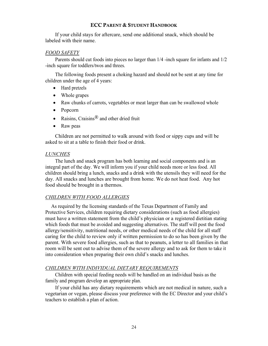If your child stays for aftercare, send one additional snack, which should be labeled with their name.

#### FOOD SAFETY

Parents should cut foods into pieces no larger than 1/4 -inch square for infants and 1/2 -inch square for toddlers/twos and threes.

The following foods present a choking hazard and should not be sent at any time for children under the age of 4 years:

- Hard pretzels
- Whole grapes
- Raw chunks of carrots, vegetables or meat larger than can be swallowed whole
- Popcorn
- Raisins, Craisins $^{\circledR}$  and other dried fruit
- Raw peas

Children are not permitted to walk around with food or sippy cups and will be asked to sit at a table to finish their food or drink.

#### LUNCHES

The lunch and snack program has both learning and social components and is an integral part of the day. We will inform you if your child needs more or less food. All children should bring a lunch, snacks and a drink with the utensils they will need for the day. All snacks and lunches are brought from home. We do not heat food. Any hot food should be brought in a thermos.

#### CHILDREN WITH FOOD ALLERGIES

As required by the licensing standards of the Texas Department of Family and Protective Services, children requiring dietary considerations (such as food allergies) must have a written statement from the child's physician or a registered dietitian stating which foods that must be avoided and suggesting alternatives. The staff will post the food allergy/sensitivity, nutritional needs, or other medical needs of the child for all staff caring for the child to review only if written permission to do so has been given by the parent. With severe food allergies, such as that to peanuts, a letter to all families in that room will be sent out to advise them of the severe allergy and to ask for them to take it into consideration when preparing their own child's snacks and lunches.

#### CHILDREN WITH INDIVIDUAL DIETARY REQUIREMENTS

Children with special feeding needs will be handled on an individual basis as the family and program develop an appropriate plan.

If your child has any dietary requirements which are not medical in nature, such a vegetarian or vegan, please discuss your preference with the EC Director and your child's teachers to establish a plan of action.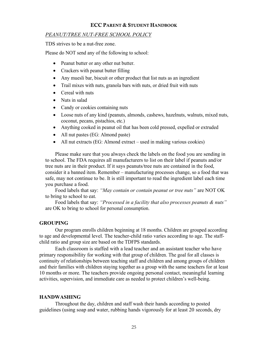#### PEANUT/TREE NUT-FREE SCHOOL POLICY

TDS strives to be a nut-free zone.

Please do NOT send any of the following to school:

- Peanut butter or any other nut butter.
- Crackers with peanut butter filling
- Any muesli bar, biscuit or other product that list nuts as an ingredient
- Trail mixes with nuts, granola bars with nuts, or dried fruit with nuts
- Cereal with nuts
- Nuts in salad
- Candy or cookies containing nuts
- Loose nuts of any kind (peanuts, almonds, cashews, hazelnuts, walnuts, mixed nuts, coconut, pecans, pistachios, etc.)
- Anything cooked in peanut oil that has been cold pressed, expelled or extruded
- All nut pastes (EG: Almond paste)
- All nut extracts (EG: Almond extract used in making various cookies)

Please make sure that you always check the labels on the food you are sending in to school. The FDA requires all manufacturers to list on their label if peanuts and/or tree nuts are in their product. If it says peanuts/tree nuts are contained in the food, consider it a banned item. Remember – manufacturing processes change, so a food that was safe, may not continue to be. It is still important to read the ingredient label each time you purchase a food.

Food labels that say: "May contain or contain peanut or tree nuts" are NOT OK to bring to school to eat.

Food labels that say: "Processed in a facility that also processes peanuts & nuts" are OK to bring to school for personal consumption.

#### GROUPING

Our program enrolls children beginning at 18 months. Children are grouped according to age and developmental level. The teacher-child ratio varies according to age. The staffchild ratio and group size are based on the TDFPS standards.

Each classroom is staffed with a lead teacher and an assistant teacher who have primary responsibility for working with that group of children. The goal for all classes is continuity of relationships between teaching staff and children and among groups of children and their families with children staying together as a group with the same teachers for at least 10 months or more. The teachers provide ongoing personal contact, meaningful learning activities, supervision, and immediate care as needed to protect children's well-being.

#### HANDWASHING

Throughout the day, children and staff wash their hands according to posted guidelines (using soap and water, rubbing hands vigorously for at least 20 seconds, dry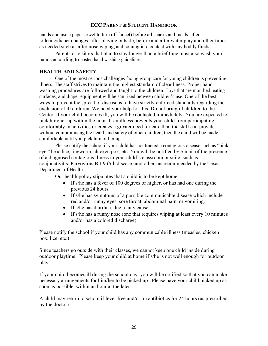hands and use a paper towel to turn off faucet) before all snacks and meals, after toileting/diaper changes, after playing outside, before and after water play and other times as needed such as after nose wiping, and coming into contact with any bodily fluids.

Parents or visitors that plan to stay longer than a brief time must also wash your hands according to posted hand washing guidelines.

## HEALTH AND SAFETY

One of the most serious challenges facing group care for young children is preventing illness. The staff strives to maintain the highest standard of cleanliness. Proper hand washing procedures are followed and taught to the children. Toys that are mouthed, eating surfaces, and diaper equipment will be sanitized between children's use. One of the best ways to prevent the spread of disease is to have strictly enforced standards regarding the exclusion of ill children. We need your help for this. Do not bring ill children to the Center. If your child becomes ill, you will be contacted immediately. You are expected to pick him/her up within the hour. If an illness prevents your child from participating comfortably in activities or creates a greater need for care than the staff can provide without compromising the health and safety of other children, then the child will be made comfortable until you pick him or her up.

Please notify the school if your child has contracted a contagious disease such as "pink eye," head lice, ringworm, chicken pox, etc. You will be notified by e-mail of the presence of a diagnosed contagious illness in your child's classroom or suite, such as conjunctivitis, Parvovirus B 1 9 (5th disease) and others as recommended by the Texas Department of Health.

Our health policy stipulates that a child is to be kept home…

- If s/he has a fever of 100 degrees or higher, or has had one during the previous 24 hours
- If s/he has symptoms of a possible communicable disease which include red and/or runny eyes, sore throat, abdominal pain, or vomiting.
- If s/he has diarrhea, due to any cause.
- If s/he has a runny nose (one that requires wiping at least every 10 minutes and/or has a colored discharge).

Please notify the school if your child has any communicable illness (measles, chicken pox, lice, etc.)

Since teachers go outside with their classes, we cannot keep one child inside during outdoor playtime. Please keep your child at home if s/he is not well enough for outdoor play.

If your child becomes ill during the school day, you will be notified so that you can make necessary arrangements for him/her to be picked up. Please have your child picked up as soon as possible, within an hour at the latest.

A child may return to school if fever free and/or on antibiotics for 24 hours (as prescribed by the doctor).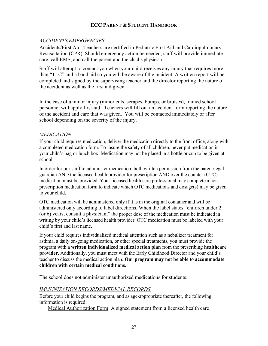## ACCIDENTS/EMERGENCIES

Accidents/First Aid: Teachers are certified in Pediatric First Aid and Cardiopulmonary Resuscitation (CPR). Should emergency action be needed, staff will provide immediate care; call EMS, and call the parent and the child's physician.

Staff will attempt to contact you when your child receives any injury that requires more than "TLC" and a band aid so you will be aware of the incident. A written report will be completed and signed by the supervising teacher and the director reporting the nature of the accident as well as the first aid given.

In the case of a minor injury (minor cuts, scrapes, bumps, or bruises), trained school personnel will apply first-aid. Teachers will fill out an accident form reporting the nature of the accident and care that was given. You will be contacted immediately or after school depending on the severity of the injury.

### **MEDICATION**

If your child requires medication, deliver the medication directly to the front office, along with a completed medication form. To insure the safety of all children, never put medication in your child's bag or lunch box. Medication may not be placed in a bottle or cup to be given at school.

In order for our staff to administer medication, both written permission from the parent/legal guardian AND the licensed health provider for prescription AND over the counter (OTC) medication must be provided. Your licensed health care professional may complete a nonprescription medication form to indicate which OTC medications and dosage(s) may be given to your child.

OTC medication will be administered only if it is in the original container and will be administered only according to label directions. When the label states "children under 2 (or 6) years, consult a physician," the proper dose of the medication must be indicated in writing by your child's licensed health provider. OTC medication must be labeled with your child's first and last name.

If your child requires individualized medical attention such as a nebulizer treatment for asthma, a daily on-going medication, or other special treatments, you must provide the program with a written individualized medical action plan from the prescribing healthcare provider. Additionally, you must meet with the Early Childhood Director and your child's teacher to discuss the medical action plan. Our program may not be able to accommodate children with certain medical conditions.

The school does not administer unauthorized medications for students.

## IMMUNIZATION RECORDS/MEDICAL RECORDS

Before your child begins the program, and as age-appropriate thereafter, the following information is required:

• Medical Authorization Form: A signed statement from a licensed health care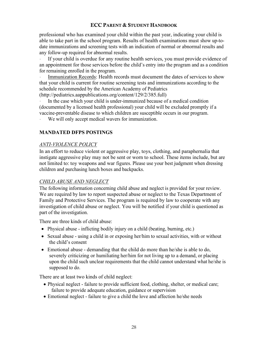professional who has examined your child within the past year, indicating your child is able to take part in the school program. Results of health examinations must show up-todate immunizations and screening tests with an indication of normal or abnormal results and any follow-up required for abnormal results.

If your child is overdue for any routine health services, you must provide evidence of an appointment for those services before the child's entry into the program and as a condition for remaining enrolled in the program.

Immunization Records: Health records must document the dates of services to show that your child is current for routine screening tests and immunizations according to the schedule recommended by the American Academy of Pediatrics (http://pediatrics.aappublications.org/content/129/2/385.full)

In the case which your child is under-immunized because of a medical condition (documented by a licensed health professional) your child will be excluded promptly if a vaccine-preventable disease to which children are susceptible occurs in our program.

We will only accept medical wavers for immunization.

## MANDATED DFPS POSTINGS

### ANTI-VIOLENCE POLICY

In an effort to reduce violent or aggressive play, toys, clothing, and paraphernalia that instigate aggressive play may not be sent or worn to school. These items include, but are not limited to: toy weapons and war figures. Please use your best judgment when dressing children and purchasing lunch boxes and backpacks.

## CHILD ABUSE AND NEGLECT

The following information concerning child abuse and neglect is provided for your review. We are required by law to report suspected abuse or neglect to the Texas Department of Family and Protective Services. The program is required by law to cooperate with any investigation of child abuse or neglect. You will be notified if your child is questioned as part of the investigation.

There are three kinds of child abuse:

- Physical abuse inflicting bodily injury on a child (beating, burning, etc.)
- Sexual abuse using a child in or exposing her/him to sexual activities, with or without the child's consent
- Emotional abuse demanding that the child do more than he/she is able to do, severely criticizing or humiliating her/him for not living up to a demand, or placing upon the child such unclear requirements that the child cannot understand what he/she is supposed to do.

There are at least two kinds of child neglect:

- Physical neglect failure to provide sufficient food, clothing, shelter, or medical care; failure to provide adequate education, guidance or supervision
- Emotional neglect failure to give a child the love and affection he/she needs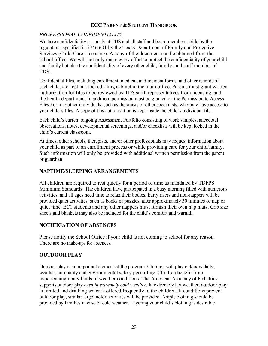# PROFESSIONAL CONFIDENTIALITY

We take confidentiality seriously at TDS and all staff and board members abide by the regulations specified in §746.601 by the Texas Department of Family and Protective Services (Child Care Licensing). A copy of the document can be obtained from the school office. We will not only make every effort to protect the confidentiality of your child and family but also the confidentiality of every other child, family, and staff member of TDS.

Confidential files, including enrollment, medical, and incident forms, and other records of each child, are kept in a locked filing cabinet in the main office. Parents must grant written authorization for files to be reviewed by TDS staff, representatives from licensing, and the health department. In addition, permission must be granted on the Permission to Access Files Form to other individuals, such as therapists or other specialists, who may have access to your child's files. A copy of this authorization is kept inside the child's individual file.

Each child's current ongoing Assessment Portfolio consisting of work samples, anecdotal observations, notes, developmental screenings, and/or checklists will be kept locked in the child's current classroom.

At times, other schools, therapists, and/or other professionals may request information about your child as part of an enrollment process or while providing care for your child/family. Such information will only be provided with additional written permission from the parent or guardian.

# NAPTIME/SLEEPING ARRANGEMENTS

All children are required to rest quietly for a period of time as mandated by TDFPS Minimum Standards. The children have participated in a busy morning filled with numerous activities, and all ages need time to relax their bodies. Early risers and non-nappers will be provided quiet activities, such as books or puzzles, after approximately 30 minutes of nap or quiet time. EC1 students and any other nappers must furnish their own nap mats. Crib size sheets and blankets may also be included for the child's comfort and warmth.

## NOTIFICATION OF ABSENCES

Please notify the School Office if your child is not coming to school for any reason. There are no make-ups for absences.

# OUTDOOR PLAY

Outdoor play is an important element of the program. Children will play outdoors daily, weather, air quality and environmental safety permitting. Children benefit from experiencing many kinds of weather conditions. The American Academy of Pediatrics supports outdoor play even in extremely cold weather. In extremely hot weather, outdoor play is limited and drinking water is offered frequently to the children. If conditions prevent outdoor play, similar large motor activities will be provided. Ample clothing should be provided by families in case of cold weather. Layering your child's clothing is desirable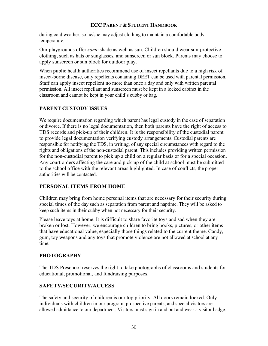during cold weather, so he/she may adjust clothing to maintain a comfortable body temperature.

Our playgrounds offer some shade as well as sun. Children should wear sun-protective clothing, such as hats or sunglasses, and sunscreen or sun block. Parents may choose to apply sunscreen or sun block for outdoor play.

When public health authorities recommend use of insect repellants due to a high risk of insect-borne disease, only repellents containing DEET can be used with parental permission. Staff can apply insect repellent no more than once a day and only with written parental permission. All insect repellant and sunscreen must be kept in a locked cabinet in the classroom and cannot be kept in your child's cubby or bag.

# PARENT CUSTODY ISSUES

We require documentation regarding which parent has legal custody in the case of separation or divorce. If there is no legal documentation, then both parents have the right of access to TDS records and pick-up of their children. It is the responsibility of the custodial parent to provide legal documentation verifying custody arrangements. Custodial parents are responsible for notifying the TDS, in writing, of any special circumstances with regard to the rights and obligations of the non-custodial parent. This includes providing written permission for the non-custodial parent to pick up a child on a regular basis or for a special occasion. Any court orders affecting the care and pick-up of the child at school must be submitted to the school office with the relevant areas highlighted. In case of conflicts, the proper authorities will be contacted.

# PERSONAL ITEMS FROM HOME

Children may bring from home personal items that are necessary for their security during special times of the day such as separation from parent and naptime. They will be asked to keep such items in their cubby when not necessary for their security.

Please leave toys at home. It is difficult to share favorite toys and sad when they are broken or lost. However, we encourage children to bring books, pictures, or other items that have educational value, especially those things related to the current theme. Candy, gum, toy weapons and any toys that promote violence are not allowed at school at any time.

## **PHOTOGRAPHY**

The TDS Preschool reserves the right to take photographs of classrooms and students for educational, promotional, and fundraising purposes.

# SAFETY/SECURITY/ACCESS

The safety and security of children is our top priority. All doors remain locked. Only individuals with children in our program, prospective parents, and special visitors are allowed admittance to our department. Visitors must sign in and out and wear a visitor badge.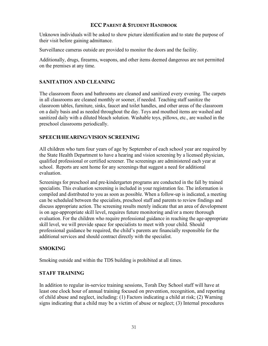Unknown individuals will be asked to show picture identification and to state the purpose of their visit before gaining admittance.

Surveillance cameras outside are provided to monitor the doors and the facility.

Additionally, drugs, firearms, weapons, and other items deemed dangerous are not permitted on the premises at any time.

## SANITATION AND CLEANING

The classroom floors and bathrooms are cleaned and sanitized every evening. The carpets in all classrooms are cleaned monthly or sooner, if needed. Teaching staff sanitize the classroom tables, furniture, sinks, faucet and toilet handles, and other areas of the classroom on a daily basis and as needed throughout the day. Toys and mouthed items are washed and sanitized daily with a diluted bleach solution. Washable toys, pillows, etc., are washed in the preschool classrooms periodically.

# SPEECH/HEARING/VISION SCREENING

All children who turn four years of age by September of each school year are required by the State Health Department to have a hearing and vision screening by a licensed physician, qualified professional or certified screener. The screenings are administered each year at school. Reports are sent home for any screenings that suggest a need for additional evaluation.

Screenings for preschool and pre-kindergarten programs are conducted in the fall by trained specialists. This evaluation screening is included in your registration fee. The information is compiled and distributed to you as soon as possible. When a follow-up is indicated, a meeting can be scheduled between the specialists, preschool staff and parents to review findings and discuss appropriate action. The screening results merely indicate that an area of development is on age-appropriate skill level, requires future monitoring and/or a more thorough evaluation. For the children who require professional guidance in reaching the age-appropriate skill level, we will provide space for specialists to meet with your child. Should professional guidance be required, the child's parents are financially responsible for the additional services and should contract directly with the specialist.

## SMOKING

Smoking outside and within the TDS building is prohibited at all times.

## STAFF TRAINING

In addition to regular in-service training sessions, Torah Day School staff will have at least one clock hour of annual training focused on prevention, recognition, and reporting of child abuse and neglect, including: (1) Factors indicating a child at risk; (2) Warning signs indicating that a child may be a victim of abuse or neglect; (3) Internal procedures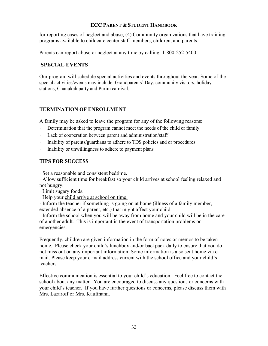for reporting cases of neglect and abuse; (4) Community organizations that have training programs available to childcare center staff members, children, and parents.

Parents can report abuse or neglect at any time by calling: 1-800-252-5400

## SPECIAL EVENTS

Our program will schedule special activities and events throughout the year. Some of the special activities/events may include: Grandparents' Day, community visitors, holiday stations, Chanukah party and Purim carnival.

# TERMINATION OF ENROLLMENT

A family may be asked to leave the program for any of the following reasons:

- Determination that the program cannot meet the needs of the child or family
- Lack of cooperation between parent and administration/staff
- Inability of parents/guardians to adhere to TDS policies and or procedures
- Inability or unwillingness to adhere to payment plans

# TIPS FOR SUCCESS

· Set a reasonable and consistent bedtime.

· Allow sufficient time for breakfast so your child arrives at school feeling relaxed and not hungry.

· Limit sugary foods.

· Help your child arrive at school on time.

· Inform the teacher if something is going on at home (illness of a family member, extended absence of a parent, etc.) that might affect your child.

- Inform the school when you will be away from home and your child will be in the care of another adult. This is important in the event of transportation problems or emergencies.

Frequently, children are given information in the form of notes or memos to be taken home. Please check your child's lunchbox and/or backpack daily to ensure that you do not miss out on any important information. Some information is also sent home via email. Please keep your e-mail address current with the school office and your child's teachers.

Effective communication is essential to your child's education. Feel free to contact the school about any matter. You are encouraged to discuss any questions or concerns with your child's teacher. If you have further questions or concerns, please discuss them with Mrs. Lazaroff or Mrs. Kaufmann.